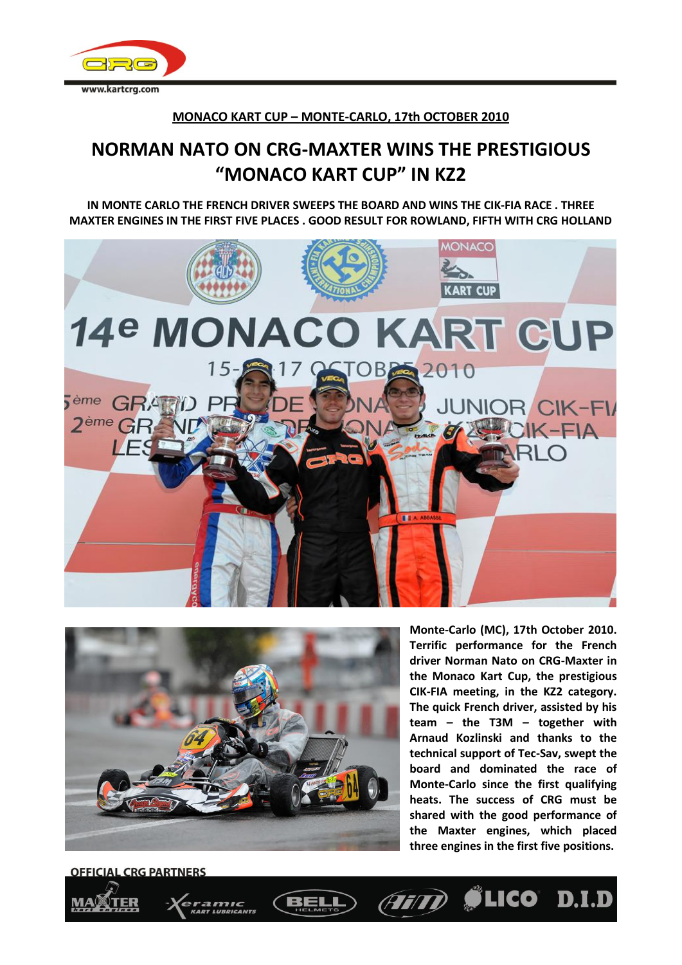

## **MONACO KART CUP – MONTE-CARLO, 17th OCTOBER 2010**

## **NORMAN NATO ON CRG-MAXTER WINS THE PRESTIGIOUS "MONACO KART CUP" IN KZ2**

**IN MONTE CARLO THE FRENCH DRIVER SWEEPS THE BOARD AND WINS THE CIK-FIA RACE . THREE MAXTER ENGINES IN THE FIRST FIVE PLACES . GOOD RESULT FOR ROWLAND, FIFTH WITH CRG HOLLAND**





**Monte-Carlo (MC), 17th October 2010. Terrific performance for the French driver Norman Nato on CRG-Maxter in the Monaco Kart Cup, the prestigious CIK-FIA meeting, in the KZ2 category. The quick French driver, assisted by his team – the T3M – together with Arnaud Kozlinski and thanks to the technical support of Tec-Sav, swept the board and dominated the race of Monte-Carlo since the first qualifying heats. The success of CRG must be shared with the good performance of the Maxter engines, which placed three engines in the first five positions.**